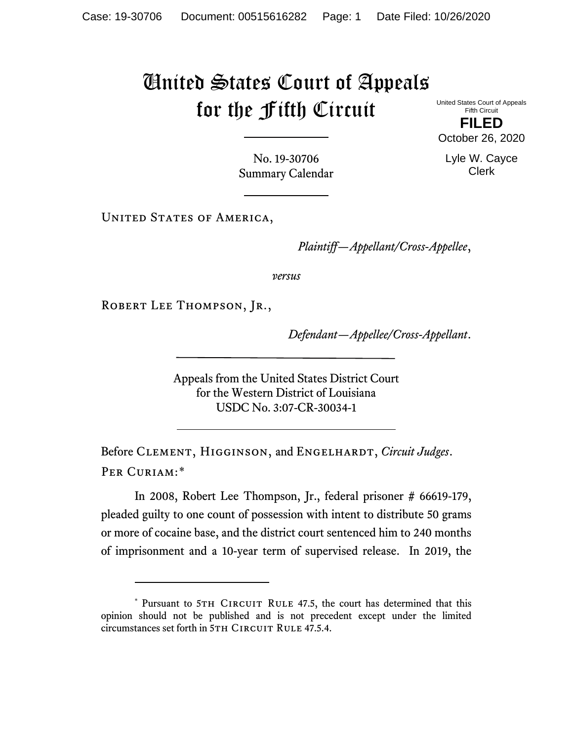## United States Court of Appeals for the Fifth Circuit

United States Court of Appeals Fifth Circuit

**FILED** October 26, 2020

Lyle W. Cayce Clerk

No. 19-30706 Summary Calendar

UNITED STATES OF AMERICA,

*Plaintiff—Appellant/Cross-Appellee*,

*versus*

ROBERT LEE THOMPSON, JR.,

*Defendant—Appellee/Cross-Appellant*.

Appeals from the United States District Court for the Western District of Louisiana USDC No. 3:07-CR-30034-1

Before CLEMENT, HIGGINSON, and ENGELHARDT, *Circuit Judges*. Per Curiam:[\\*](#page-0-0)

In 2008, Robert Lee Thompson, Jr., federal prisoner # 66619-179, pleaded guilty to one count of possession with intent to distribute 50 grams or more of cocaine base, and the district court sentenced him to 240 months of imprisonment and a 10-year term of supervised release. In 2019, the

<span id="page-0-0"></span><sup>\*</sup> Pursuant to 5TH CIRCUIT RULE 47.5, the court has determined that this opinion should not be published and is not precedent except under the limited circumstances set forth in 5TH CIRCUIT RULE 47.5.4.